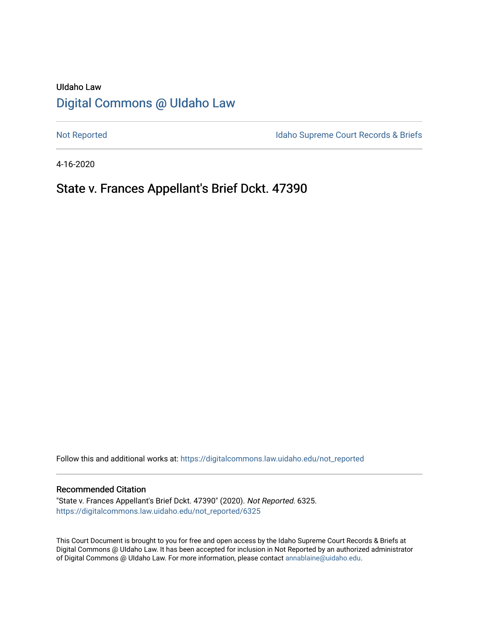# UIdaho Law [Digital Commons @ UIdaho Law](https://digitalcommons.law.uidaho.edu/)

[Not Reported](https://digitalcommons.law.uidaho.edu/not_reported) **Idaho Supreme Court Records & Briefs** 

4-16-2020

# State v. Frances Appellant's Brief Dckt. 47390

Follow this and additional works at: [https://digitalcommons.law.uidaho.edu/not\\_reported](https://digitalcommons.law.uidaho.edu/not_reported?utm_source=digitalcommons.law.uidaho.edu%2Fnot_reported%2F6325&utm_medium=PDF&utm_campaign=PDFCoverPages) 

### Recommended Citation

"State v. Frances Appellant's Brief Dckt. 47390" (2020). Not Reported. 6325. [https://digitalcommons.law.uidaho.edu/not\\_reported/6325](https://digitalcommons.law.uidaho.edu/not_reported/6325?utm_source=digitalcommons.law.uidaho.edu%2Fnot_reported%2F6325&utm_medium=PDF&utm_campaign=PDFCoverPages)

This Court Document is brought to you for free and open access by the Idaho Supreme Court Records & Briefs at Digital Commons @ UIdaho Law. It has been accepted for inclusion in Not Reported by an authorized administrator of Digital Commons @ UIdaho Law. For more information, please contact [annablaine@uidaho.edu](mailto:annablaine@uidaho.edu).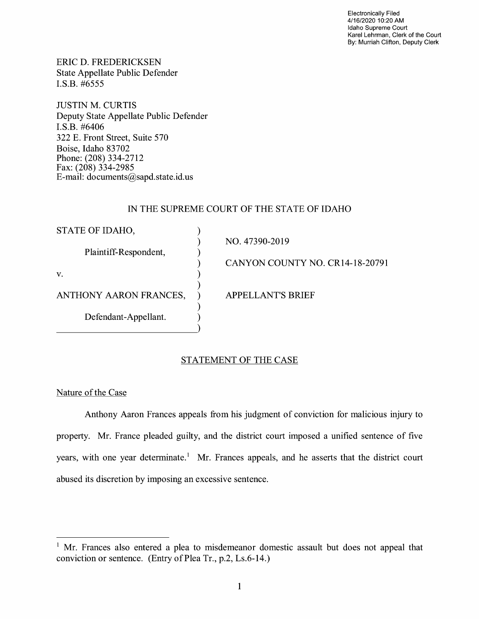Electronically Filed 4/16/2020 10:20 AM Idaho Supreme Court Karel Lehrman, Clerk of the Court By: Murriah Clifton, Deputy Clerk

ERIC D. FREDERICKSEN State Appellate Public Defender I.S.B. #6555

JUSTIN M. CURTIS Deputy State Appellate Public Defender I.S.B. #6406 322 E. Front Street, Suite 570 Boise, Idaho 83702 Phone: (208) 334-2712 Fax:  $(208)$  334-2985 E-mail: documents@sapd.state.id. us

# IN THE SUPREME COURT OF THE STATE OF IDAHO

| STATE OF IDAHO,        |                                 |
|------------------------|---------------------------------|
| Plaintiff-Respondent,  | NO. 47390-2019                  |
|                        | CANYON COUNTY NO. CR14-18-20791 |
| V.                     |                                 |
| ANTHONY AARON FRANCES, | APPELLANT'S BRIEF               |
| Defendant-Appellant.   |                                 |

# STATEMENT OF THE CASE

Nature of the Case

Anthony Aaron Frances appeals from his judgment of conviction for malicious injury to property. Mr. France pleaded guilty, and the district court imposed a unified sentence of five years, with one year determinate.<sup>1</sup> Mr. Frances appeals, and he asserts that the district court abused its discretion by imposing an excessive sentence.

 $1$  Mr. Frances also entered a plea to misdemeanor domestic assault but does not appeal that conviction or sentence. (Entry of Plea Tr., p.2, Ls.6-14.)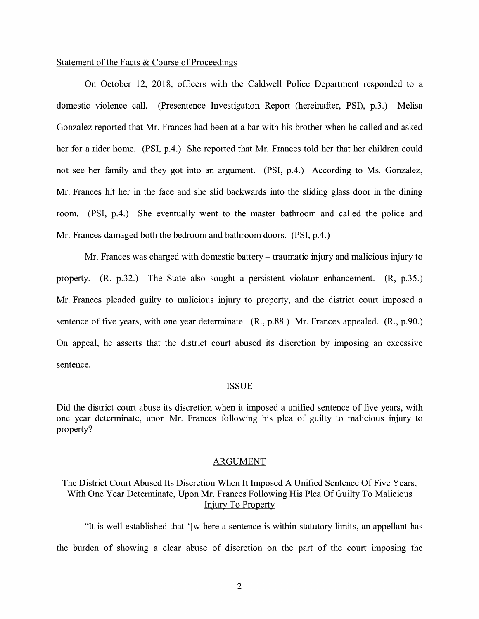## Statement of the Facts & Course of Proceedings

On October 12, 2018, officers with the Caldwell Police Department responded to a domestic violence call. (Presentence Investigation Report (hereinafter, PSI), p.3.) Melisa Gonzalez reported that Mr. Frances had been at a bar with his brother when he called and asked her for a rider home. (PSI, p.4.) She reported that Mr. Frances told her that her children could not see her family and they got into an argument. (PSI, p.4.) According to Ms. Gonzalez, Mr. Frances hit her in the face and she slid backwards into the sliding glass door in the dining room. (PSI, p.4.) She eventually went to the master bathroom and called the police and Mr. Frances damaged both the bedroom and bathroom doors. (PSI, p.4.)

Mr. Frances was charged with domestic battery- traumatic injury and malicious injury to property. (R. p.32.) The State also sought a persistent violator enhancement. (R, p.35.) Mr. Frances pleaded guilty to malicious injury to property, and the district court imposed a sentence of five years, with one year determinate. (R., p.88.) Mr. Frances appealed. (R., p.90.) On appeal, he asserts that the district court abused its discretion by imposing an excessive sentence.

#### ISSUE

Did the district court abuse its discretion when it imposed a unified sentence of five years, with one year determinate, upon Mr. Frances following his plea of guilty to malicious injury to property?

### ARGUMENT

# The District Court Abused Its Discretion When It Imposed A Unified Sentence Of Five Years, With One Year Determinate, Upon Mr. Frances Following His Plea Of Guilty To Malicious Injury To Property

"It is well-established that ' [ w ]here a sentence is within statutory limits, an appellant has the burden of showing a clear abuse of discretion on the part of the court imposing the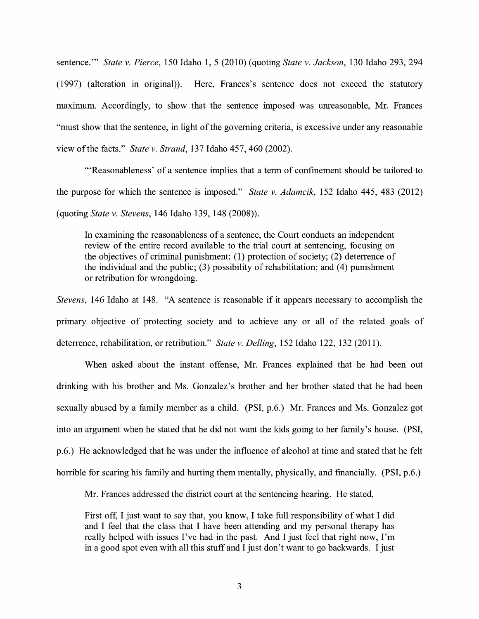sentence."' *State v. Pierce,* 150 Idaho 1, 5 (2010) (quoting *State v. Jackson,* 130 Idaho 293, 294 (1997) (alteration in original)). Here, Frances's sentence does not exceed the statutory maximum. Accordingly, to show that the sentence imposed was unreasonable, Mr. Frances "must show that the sentence, in light of the governing criteria, is excessive under any reasonable view of the facts." *State v. Strand,* 137 Idaho 457, 460 (2002).

"'Reasonableness' of a sentence implies that a term of confinement should be tailored to the purpose for which the sentence is imposed." *State v. Adamcik,* 152 Idaho 445, 483 (2012) (quoting *State v. Stevens,* 146 Idaho 139, 148 (2008)).

In examining the reasonableness of a sentence, the Court conducts an independent review of the entire record available to the trial court at sentencing, focusing on the objectives of criminal punishment: (1) protection of society; (2) deterrence of the individual and the public;  $(3)$  possibility of rehabilitation; and  $(4)$  punishment or retribution for wrongdoing.

*Stevens,* 146 Idaho at 148. "A sentence is reasonable if it appears necessary to accomplish the primary objective of protecting society and to achieve any or all of the related goals of deterrence, rehabilitation, or retribution." *State v. Delling,* 152 Idaho 122, 132 (2011).

When asked about the instant offense, Mr. Frances explained that he had been out drinking with his brother and Ms. Gonzalez's brother and her brother stated that he had been sexually abused by a family member as a child. (PSI, p.6.) Mr. Frances and Ms. Gonzalez got into an argument when he stated that he did not want the kids going to her family's house. (PSI, p.6.) He acknowledged that he was under the influence of alcohol at time and stated that he felt horrible for scaring his family and hurting them mentally, physically, and financially. (PSI, p.6.)

Mr. Frances addressed the district court at the sentencing hearing. He stated,

First off, I just want to say that, you know, I take full responsibility of what I did and I feel that the class that I have been attending and my personal therapy has really helped with issues I've had in the past. And I just feel that right now, I'm in a good spot even with all this stuff and I just don't want to go backwards. I just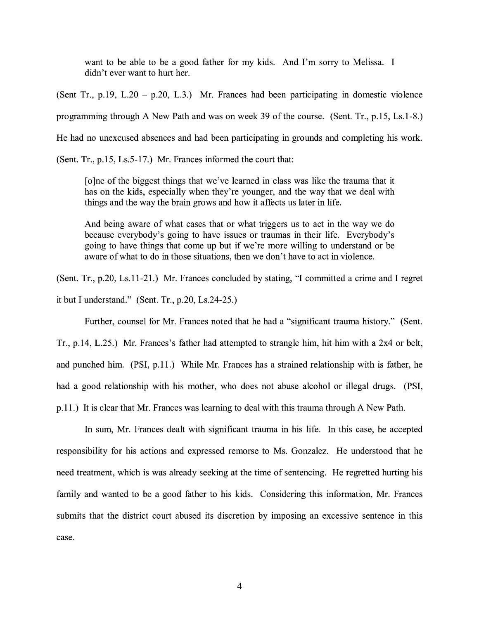want to be able to be a good father for my kids. And I'm sorry to Melissa. I didn't ever want to hurt her.

(Sent Tr., p.19, L.20 – p.20, L.3.) Mr. Frances had been participating in domestic violence programming through A New Path and was on week 39 of the course. (Sent. Tr., p.15, Ls.1-8.) He had no unexcused absences and had been participating in grounds and completing his work.

(Sent. Tr., p.15, Ls.5-17.) Mr. Frances informed the court that:

[ o ]ne of the biggest things that we've learned in class was like the trauma that it has on the kids, especially when they're younger, and the way that we deal with things and the way the brain grows and how it affects us later in life.

And being aware of what cases that or what triggers us to act in the way we do because everybody's going to have issues or traumas in their life. Everybody's going to have things that come up but if we're more willing to understand or be aware of what to do in those situations, then we don't have to act in violence.

(Sent. Tr., p.20, Ls.11-21.) Mr. Frances concluded by stating, "I committed a crime and I regret it but I understand." (Sent. Tr., p.20, Ls.24-25.)

Further, counsel for Mr. Frances noted that he had a "significant trauma history." (Sent.

Tr., p.14, L.25.) Mr. Frances's father had attempted to strangle him, hit him with a 2x4 or belt, and punched him. (PSI, p.11.) While Mr. Frances has a strained relationship with is father, he had a good relationship with his mother, who does not abuse alcohol or illegal drugs. (PSI, p.11.) It is clear that Mr. Frances was learning to deal with this trauma through A New Path.

In sum, Mr. Frances dealt with significant trauma in his life. In this case, he accepted responsibility for his actions and expressed remorse to Ms. Gonzalez. He understood that he need treatment, which is was already seeking at the time of sentencing. He regretted hurting his family and wanted to be a good father to his kids. Considering this information, Mr. Frances submits that the district court abused its discretion by imposing an excessive sentence in this case.